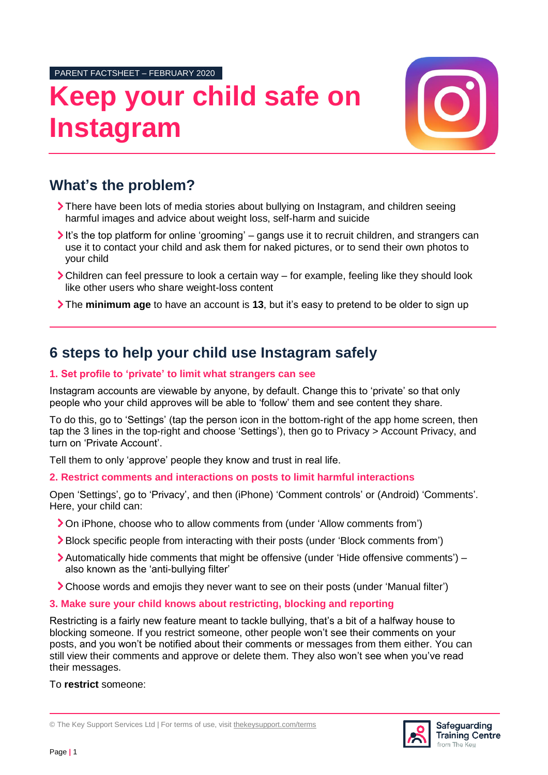PARENT FACTSHEET – FEBRUARY 2020

# **Keep your child safe on Instagram**



## **What's the problem?**

- There have been lots of media stories about bullying on Instagram, and children seeing harmful images and advice about weight loss, self-harm and suicide
- It's the top platform for online 'grooming' gangs use it to recruit children, and strangers can use it to contact your child and ask them for naked pictures, or to send their own photos to your child
- Children can feel pressure to look a certain way for example, feeling like they should look like other users who share weight-loss content
- The **minimum age** to have an account is **13**, but it's easy to pretend to be older to sign up

## **6 steps to help your child use Instagram safely**

### **1. Set profile to 'private' to limit what strangers can see**

Instagram accounts are viewable by anyone, by default. Change this to 'private' so that only people who your child approves will be able to 'follow' them and see content they share.

To do this, go to 'Settings' (tap the person icon in the bottom-right of the app home screen, then tap the 3 lines in the top-right and choose 'Settings'), then go to Privacy > Account Privacy, and turn on 'Private Account'.

Tell them to only 'approve' people they know and trust in real life.

#### **2. Restrict comments and interactions on posts to limit harmful interactions**

Open 'Settings', go to 'Privacy', and then (iPhone) 'Comment controls' or (Android) 'Comments'. Here, your child can:

- On iPhone, choose who to allow comments from (under 'Allow comments from')
- Block specific people from interacting with their posts (under 'Block comments from')
- Automatically hide comments that might be offensive (under 'Hide offensive comments') also known as the 'anti-bullying filter'
- Choose words and emojis they never want to see on their posts (under 'Manual filter')
- **3. Make sure your child knows about restricting, blocking and reporting**

Restricting is a fairly new feature meant to tackle bullying, that's a bit of a halfway house to blocking someone. If you restrict someone, other people won't see their comments on your posts, and you won't be notified about their comments or messages from them either. You can still view their comments and approve or delete them. They also won't see when you've read their messages.

To **restrict** someone:



<sup>©</sup> The Key Support Services Ltd | For terms of use, visit [thekeysupport.com/terms](https://thekeysupport.com/terms-of-use)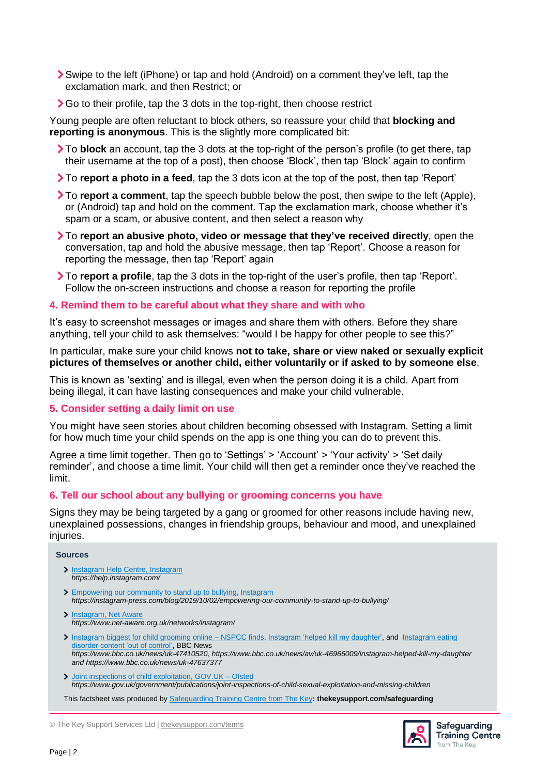- Swipe to the left (iPhone) or tap and hold (Android) on a comment they've left, tap the exclamation mark, and then Restrict; or
- Go to their profile, tap the 3 dots in the top-right, then choose restrict

Young people are often reluctant to block others, so reassure your child that **blocking and reporting is anonymous**. This is the slightly more complicated bit:

- To **block** an account, tap the 3 dots at the top-right of the person's profile (to get there, tap their username at the top of a post), then choose 'Block', then tap 'Block' again to confirm
- To **report a photo in a feed**, tap the 3 dots icon at the top of the post, then tap 'Report'
- To **report a comment**, tap the speech bubble below the post, then swipe to the left (Apple), or (Android) tap and hold on the comment. Tap the exclamation mark, choose whether it's spam or a scam, or abusive content, and then select a reason why
- To **report an abusive photo, video or message that they've received directly**, open the conversation, tap and hold the abusive message, then tap 'Report'. Choose a reason for reporting the message, then tap 'Report' again
- To **report a profile**, tap the 3 dots in the top-right of the user's profile, then tap 'Report'. Follow the on-screen instructions and choose a reason for reporting the profile

#### **4. Remind them to be careful about what they share and with who**

It's easy to screenshot messages or images and share them with others. Before they share anything, tell your child to ask themselves: "would I be happy for other people to see this?"

In particular, make sure your child knows **not to take, share or view naked or sexually explicit pictures of themselves or another child, either voluntarily or if asked to by someone else**.

This is known as 'sexting' and is illegal, even when the person doing it is a child. Apart from being illegal, it can have lasting consequences and make your child vulnerable.

#### **5. Consider setting a daily limit on use**

You might have seen stories about children becoming obsessed with Instagram. Setting a limit for how much time your child spends on the app is one thing you can do to prevent this.

Agree a time limit together. Then go to 'Settings' > 'Account' > 'Your activity' > 'Set daily reminder', and choose a time limit. Your child will then get a reminder once they've reached the limit.

#### **6. Tell our school about any bullying or grooming concerns you have**

Signs they may be being targeted by a gang or groomed for other reasons include having new, unexplained possessions, changes in friendship groups, behaviour and mood, and unexplained injuries.

#### **Sources**

- > [Instagram Help Centre, Instagram](https://help.instagram.com/) *https://help.instagram.com/*
- [Empowering our community to stand up to bullying, Instagram](https://instagram-press.com/blog/2019/10/02/empowering-our-community-to-stand-up-to-bullying/) *https://instagram-press.com/blog/2019/10/02/empowering-our-community-to-stand-up-to-bullying/*
- > [Instagram, Net Aware](https://www.net-aware.org.uk/networks/instagram/) *https://www.net-aware.org.uk/networks/instagram/*
- > [Instagram biggest for child](https://www.bbc.co.uk/news/uk-47410520) grooming online NSPCC finds[, Instagram 'helped kill my daughter',](https://www.bbc.co.uk/news/av/uk-46966009/instagram-helped-kill-my-daughter) and Instagram eating [disorder content 'out of control',](https://www.bbc.co.uk/news/uk-47637377) BBC News *https://www.bbc.co.uk/news/uk-47410520, https://www.bbc.co.uk/news/av/uk-46966009/instagram-helped-kill-my-daughter and https://www.bbc.co.uk/news/uk-47637377*
- [Joint inspections of child exploitation, GOV.UK –](https://www.gov.uk/government/publications/joint-inspections-of-child-sexual-exploitation-and-missing-children) Ofsted *https://www.gov.uk/government/publications/joint-inspections-of-child-sexual-exploitation-and-missing-children*

This factsheet was produced by [Safeguarding Training Centre from The Key](https://safeguarding.thekeysupport.com/)**: thekeysupport.com/safeguarding**

© The Key Support Services Ltd | [thekeysupport.com/terms](https://thekeysupport.com/terms-of-use)



Safeguarding **Training Centre** from The Keu